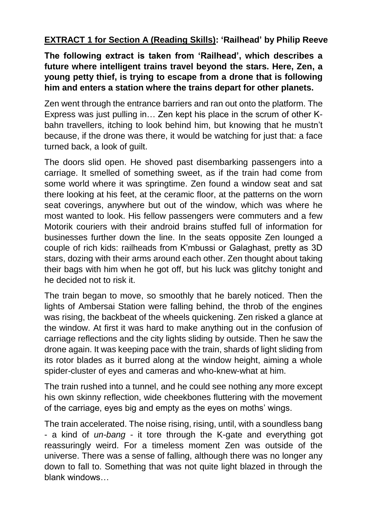**EXTRACT 1 for Section A (Reading Skills): 'Railhead' by Philip Reeve**

**The following extract is taken from 'Railhead', which describes a future where intelligent trains travel beyond the stars. Here, Zen, a young petty thief, is trying to escape from a drone that is following him and enters a station where the trains depart for other planets.**

Zen went through the entrance barriers and ran out onto the platform. The Express was just pulling in… Zen kept his place in the scrum of other Kbahn travellers, itching to look behind him, but knowing that he mustn't because, if the drone was there, it would be watching for just that: a face turned back, a look of guilt.

The doors slid open. He shoved past disembarking passengers into a carriage. It smelled of something sweet, as if the train had come from some world where it was springtime. Zen found a window seat and sat there looking at his feet, at the ceramic floor, at the patterns on the worn seat coverings, anywhere but out of the window, which was where he most wanted to look. His fellow passengers were commuters and a few Motorik couriers with their android brains stuffed full of information for businesses further down the line. In the seats opposite Zen lounged a couple of rich kids: railheads from K'mbussi or Galaghast, pretty as 3D stars, dozing with their arms around each other. Zen thought about taking their bags with him when he got off, but his luck was glitchy tonight and he decided not to risk it.

The train began to move, so smoothly that he barely noticed. Then the lights of Ambersai Station were falling behind, the throb of the engines was rising, the backbeat of the wheels quickening. Zen risked a glance at the window. At first it was hard to make anything out in the confusion of carriage reflections and the city lights sliding by outside. Then he saw the drone again. It was keeping pace with the train, shards of light sliding from its rotor blades as it burred along at the window height, aiming a whole spider-cluster of eyes and cameras and who-knew-what at him.

The train rushed into a tunnel, and he could see nothing any more except his own skinny reflection, wide cheekbones fluttering with the movement of the carriage, eyes big and empty as the eyes on moths' wings.

The train accelerated. The noise rising, rising, until, with a soundless bang - a kind of *un-bang* - it tore through the K-gate and everything got reassuringly weird. For a timeless moment Zen was outside of the universe. There was a sense of falling, although there was no longer any down to fall to. Something that was not quite light blazed in through the blank windows…